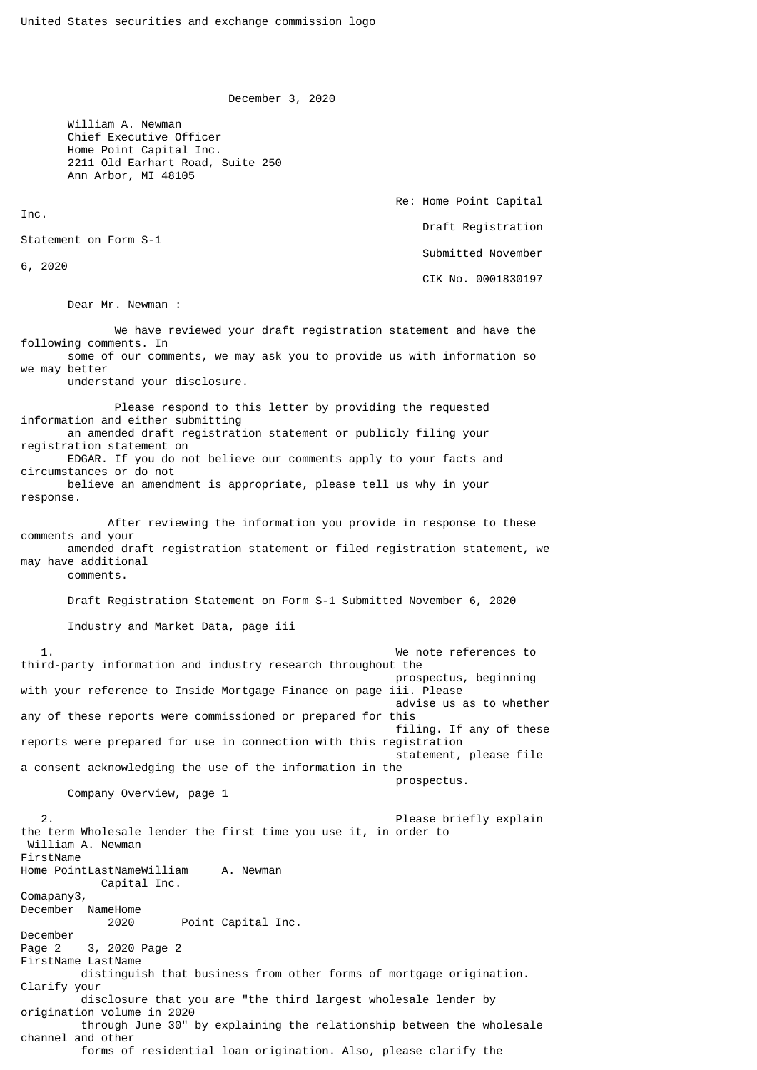December 3, 2020

 William A. Newman Chief Executive Officer Home Point Capital Inc. 2211 Old Earhart Road, Suite 250 Ann Arbor, MI 48105

> Re: Home Point Capital Draft Registration Submitted November CIK No. 0001830197

Statement on Form S-1

6, 2020

Inc.

Dear Mr. Newman :

 We have reviewed your draft registration statement and have the following comments. In some of our comments, we may ask you to provide us with information so we may better understand your disclosure. Please respond to this letter by providing the requested information and either submitting an amended draft registration statement or publicly filing your registration statement on EDGAR. If you do not believe our comments apply to your facts and circumstances or do not believe an amendment is appropriate, please tell us why in your response. After reviewing the information you provide in response to these comments and your amended draft registration statement or filed registration statement, we may have additional comments. Draft Registration Statement on Form S-1 Submitted November 6, 2020 Industry and Market Data, page iii 1. We note references to third-party information and industry research throughout the prospectus, beginning with your reference to Inside Mortgage Finance on page iii. Please advise us as to whether any of these reports were commissioned or prepared for this filing. If any of these reports were prepared for use in connection with this registration

 statement, please file a consent acknowledging the use of the information in the prospectus.

Company Overview, page 1

Please briefly explain the term Wholesale lender the first time you use it, in order to William A. Newman FirstName Home PointLastNameWilliam A. Newman Capital Inc. Comapany3, December NameHome 2020 Point Capital Inc. December Page 2 3, 2020 Page 2 FirstName LastName distinguish that business from other forms of mortgage origination. Clarify your disclosure that you are "the third largest wholesale lender by origination volume in 2020 through June 30" by explaining the relationship between the wholesale channel and other forms of residential loan origination. Also, please clarify the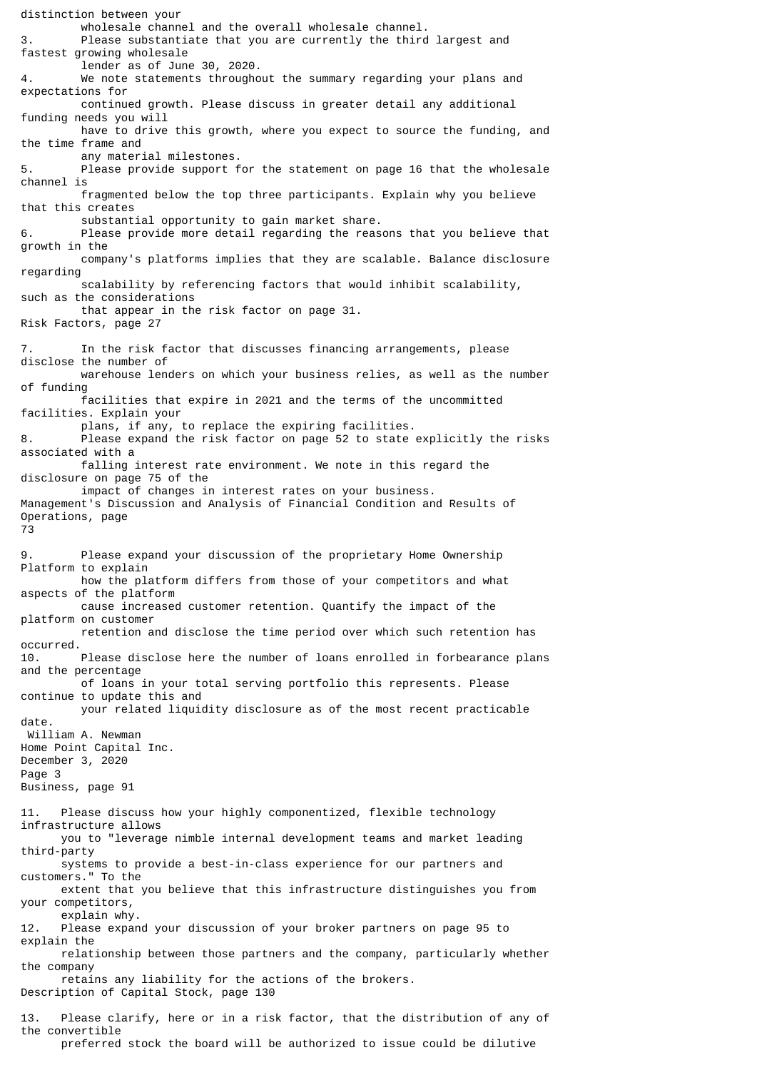distinction between your wholesale channel and the overall wholesale channel.<br>Please substantiate that you are currently the third Please substantiate that you are currently the third largest and fastest growing wholesale lender as of June 30, 2020. 4. We note statements throughout the summary regarding your plans and expectations for continued growth. Please discuss in greater detail any additional funding needs you will have to drive this growth, where you expect to source the funding, and the time frame and any material milestones. 5. Please provide support for the statement on page 16 that the wholesale channel is fragmented below the top three participants. Explain why you believe that this creates substantial opportunity to gain market share. 6. Please provide more detail regarding the reasons that you believe that growth in the company's platforms implies that they are scalable. Balance disclosure regarding scalability by referencing factors that would inhibit scalability, such as the considerations that appear in the risk factor on page 31. Risk Factors, page 27 7. In the risk factor that discusses financing arrangements, please disclose the number of warehouse lenders on which your business relies, as well as the number of funding facilities that expire in 2021 and the terms of the uncommitted facilities. Explain your plans, if any, to replace the expiring facilities.<br>B. Blease expand the risk factor on page 52 to state Please expand the risk factor on page 52 to state explicitly the risks associated with a falling interest rate environment. We note in this regard the disclosure on page 75 of the impact of changes in interest rates on your business. Management's Discussion and Analysis of Financial Condition and Results of Operations, page 73 9. Please expand your discussion of the proprietary Home Ownership Platform to explain how the platform differs from those of your competitors and what aspects of the platform cause increased customer retention. Quantify the impact of the platform on customer retention and disclose the time period over which such retention has occurred. 10. Please disclose here the number of loans enrolled in forbearance plans and the percentage of loans in your total serving portfolio this represents. Please continue to update this and your related liquidity disclosure as of the most recent practicable date. William A. Newman Home Point Capital Inc. December 3, 2020 Page 3 Business, page 91 11. Please discuss how your highly componentized, flexible technology infrastructure allows you to "leverage nimble internal development teams and market leading third-party systems to provide a best-in-class experience for our partners and customers." To the extent that you believe that this infrastructure distinguishes you from your competitors, explain why. 12. Please expand your discussion of your broker partners on page 95 to explain the relationship between those partners and the company, particularly whether the company retains any liability for the actions of the brokers. Description of Capital Stock, page 130 13. Please clarify, here or in a risk factor, that the distribution of any of the convertible

preferred stock the board will be authorized to issue could be dilutive